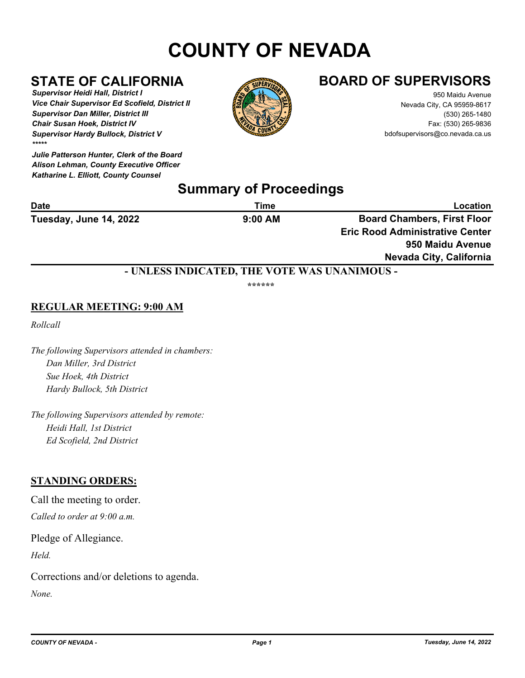# **COUNTY OF NEVADA**

*Supervisor Heidi Hall, District I Vice Chair Supervisor Ed Scofield, District II Supervisor Dan Miller, District III Chair Susan Hoek, District IV Supervisor Hardy Bullock, District V \*\*\*\*\**

*Julie Patterson Hunter, Clerk of the Board Alison Lehman, County Executive Officer Katharine L. Elliott, County Counsel*



## **STATE OF CALIFORNIA BOARD OF SUPERVISORS**

950 Maidu Avenue Nevada City, CA 95959-8617 (530) 265-1480 Fax: (530) 265-9836 bdofsupervisors@co.nevada.ca.us

## **Summary of Proceedings**

| <b>Date</b>            | Time      | Location                               |  |
|------------------------|-----------|----------------------------------------|--|
| Tuesday, June 14, 2022 | $9:00$ AM | <b>Board Chambers, First Floor</b>     |  |
|                        |           | <b>Eric Rood Administrative Center</b> |  |
|                        |           | 950 Maidu Avenue                       |  |

**Nevada City, California**

### **- UNLESS INDICATED, THE VOTE WAS UNANIMOUS -**

**\*\*\*\*\*\***

### **REGULAR MEETING: 9:00 AM**

*Rollcall*

*The following Supervisors attended in chambers: Dan Miller, 3rd District Sue Hoek, 4th District Hardy Bullock, 5th District*

*The following Supervisors attended by remote: Heidi Hall, 1st District Ed Scofield, 2nd District*

#### **STANDING ORDERS:**

Call the meeting to order. *Called to order at 9:00 a.m.*

Pledge of Allegiance.

*Held.*

Corrections and/or deletions to agenda.

*None.*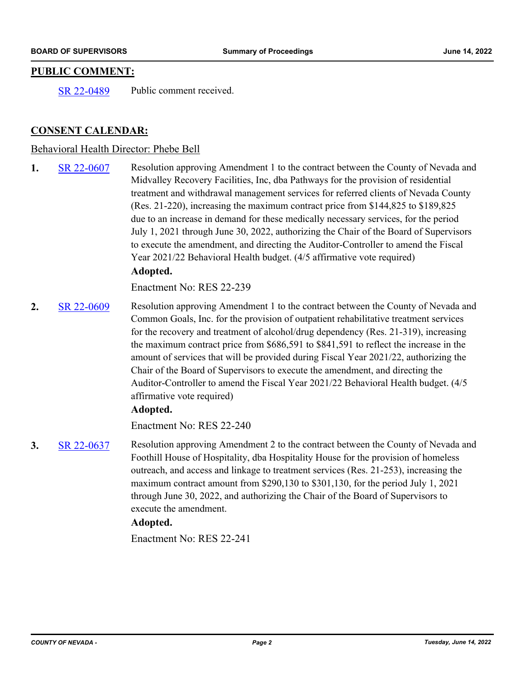#### **PUBLIC COMMENT:**

[SR 22-0489](http://nevco.legistar.com/gateway.aspx?m=l&id=/matter.aspx?key=40817) Public comment received.

#### **CONSENT CALENDAR:**

#### Behavioral Health Director: Phebe Bell

**1.** [SR 22-0607](http://nevco.legistar.com/gateway.aspx?m=l&id=/matter.aspx?key=40935) Resolution approving Amendment 1 to the contract between the County of Nevada and Midvalley Recovery Facilities, Inc, dba Pathways for the provision of residential treatment and withdrawal management services for referred clients of Nevada County (Res. 21-220), increasing the maximum contract price from \$144,825 to \$189,825 due to an increase in demand for these medically necessary services, for the period July 1, 2021 through June 30, 2022, authorizing the Chair of the Board of Supervisors to execute the amendment, and directing the Auditor-Controller to amend the Fiscal Year 2021/22 Behavioral Health budget. (4/5 affirmative vote required) **Adopted.**

Enactment No: RES 22-239

**2.** [SR 22-0609](http://nevco.legistar.com/gateway.aspx?m=l&id=/matter.aspx?key=40937) Resolution approving Amendment 1 to the contract between the County of Nevada and Common Goals, Inc. for the provision of outpatient rehabilitative treatment services for the recovery and treatment of alcohol/drug dependency (Res. 21-319), increasing the maximum contract price from  $$686,591$  to  $$841,591$  to reflect the increase in the amount of services that will be provided during Fiscal Year 2021/22, authorizing the Chair of the Board of Supervisors to execute the amendment, and directing the Auditor-Controller to amend the Fiscal Year 2021/22 Behavioral Health budget. (4/5 affirmative vote required)

#### **Adopted.**

Enactment No: RES 22-240

**3.** [SR 22-0637](http://nevco.legistar.com/gateway.aspx?m=l&id=/matter.aspx?key=40965) Resolution approving Amendment 2 to the contract between the County of Nevada and Foothill House of Hospitality, dba Hospitality House for the provision of homeless outreach, and access and linkage to treatment services (Res. 21-253), increasing the maximum contract amount from \$290,130 to \$301,130, for the period July 1, 2021 through June 30, 2022, and authorizing the Chair of the Board of Supervisors to execute the amendment.

#### **Adopted.**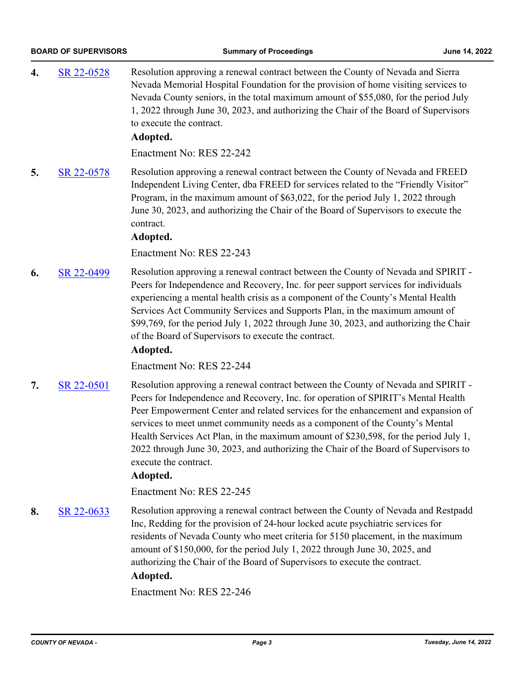**4.** [SR 22-0528](http://nevco.legistar.com/gateway.aspx?m=l&id=/matter.aspx?key=40856) Resolution approving a renewal contract between the County of Nevada and Sierra Nevada Memorial Hospital Foundation for the provision of home visiting services to Nevada County seniors, in the total maximum amount of \$55,080, for the period July 1, 2022 through June 30, 2023, and authorizing the Chair of the Board of Supervisors to execute the contract. **Adopted.** Enactment No: RES 22-242 **5.** [SR 22-0578](http://nevco.legistar.com/gateway.aspx?m=l&id=/matter.aspx?key=40906) Resolution approving a renewal contract between the County of Nevada and FREED Independent Living Center, dba FREED for services related to the "Friendly Visitor" Program, in the maximum amount of \$63,022, for the period July 1, 2022 through June 30, 2023, and authorizing the Chair of the Board of Supervisors to execute the contract. **Adopted.** Enactment No: RES 22-243 **6.** [SR 22-0499](http://nevco.legistar.com/gateway.aspx?m=l&id=/matter.aspx?key=40827) Resolution approving a renewal contract between the County of Nevada and SPIRIT - Peers for Independence and Recovery, Inc. for peer support services for individuals experiencing a mental health crisis as a component of the County's Mental Health Services Act Community Services and Supports Plan, in the maximum amount of \$99,769, for the period July 1, 2022 through June 30, 2023, and authorizing the Chair of the Board of Supervisors to execute the contract. **Adopted.** Enactment No: RES 22-244 **7.** [SR 22-0501](http://nevco.legistar.com/gateway.aspx?m=l&id=/matter.aspx?key=40829) Resolution approving a renewal contract between the County of Nevada and SPIRIT - Peers for Independence and Recovery, Inc. for operation of SPIRIT's Mental Health Peer Empowerment Center and related services for the enhancement and expansion of services to meet unmet community needs as a component of the County's Mental Health Services Act Plan, in the maximum amount of \$230,598, for the period July 1, 2022 through June 30, 2023, and authorizing the Chair of the Board of Supervisors to execute the contract. **Adopted.** Enactment No: RES 22-245 **8.** [SR 22-0633](http://nevco.legistar.com/gateway.aspx?m=l&id=/matter.aspx?key=40961) Resolution approving a renewal contract between the County of Nevada and Restpadd Inc, Redding for the provision of 24-hour locked acute psychiatric services for residents of Nevada County who meet criteria for 5150 placement, in the maximum amount of \$150,000, for the period July 1, 2022 through June 30, 2025, and authorizing the Chair of the Board of Supervisors to execute the contract. **Adopted.**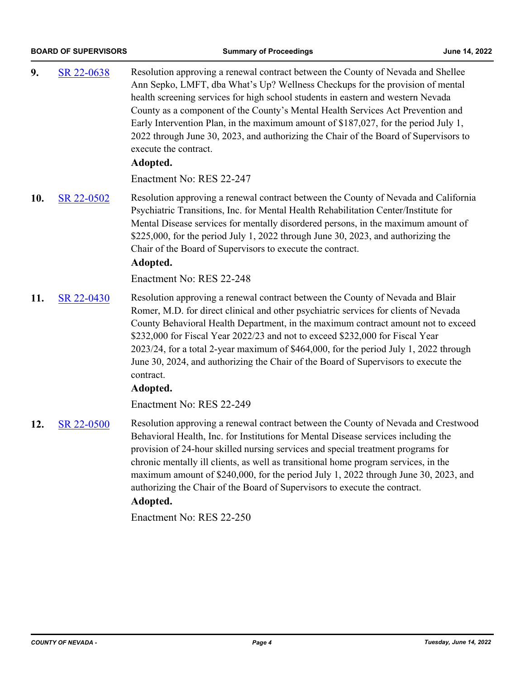| 9.  | SR 22-0638 | Resolution approving a renewal contract between the County of Nevada and Shellee<br>Ann Sepko, LMFT, dba What's Up? Wellness Checkups for the provision of mental<br>health screening services for high school students in eastern and western Nevada<br>County as a component of the County's Mental Health Services Act Prevention and<br>Early Intervention Plan, in the maximum amount of \$187,027, for the period July 1,<br>2022 through June 30, 2023, and authorizing the Chair of the Board of Supervisors to<br>execute the contract.<br>Adopted.<br>Enactment No: RES 22-247 |
|-----|------------|------------------------------------------------------------------------------------------------------------------------------------------------------------------------------------------------------------------------------------------------------------------------------------------------------------------------------------------------------------------------------------------------------------------------------------------------------------------------------------------------------------------------------------------------------------------------------------------|
| 10. | SR 22-0502 | Resolution approving a renewal contract between the County of Nevada and California<br>Psychiatric Transitions, Inc. for Mental Health Rehabilitation Center/Institute for<br>Mental Disease services for mentally disordered persons, in the maximum amount of<br>\$225,000, for the period July 1, 2022 through June 30, 2023, and authorizing the<br>Chair of the Board of Supervisors to execute the contract.<br>Adopted.<br>Enactment No: RES 22-248                                                                                                                               |
| 11. | SR 22-0430 | Resolution approving a renewal contract between the County of Nevada and Blair<br>Romer, M.D. for direct clinical and other psychiatric services for clients of Nevada<br>County Behavioral Health Department, in the maximum contract amount not to exceed<br>\$232,000 for Fiscal Year 2022/23 and not to exceed \$232,000 for Fiscal Year<br>2023/24, for a total 2-year maximum of \$464,000, for the period July 1, 2022 through<br>June 30, 2024, and authorizing the Chair of the Board of Supervisors to execute the<br>contract.<br>Adopted.<br>Enactment No: RES 22-249        |
| 12. | SR 22-0500 | Resolution approving a renewal contract between the County of Nevada and Crestwood<br>Behavioral Health, Inc. for Institutions for Mental Disease services including the<br>provision of 24-hour skilled nursing services and special treatment programs for<br>chronic mentally ill clients, as well as transitional home program services, in the<br>maximum amount of \$240,000, for the period July 1, 2022 through June 30, 2023, and<br>authorizing the Chair of the Board of Supervisors to execute the contract.                                                                 |

## **Adopted.**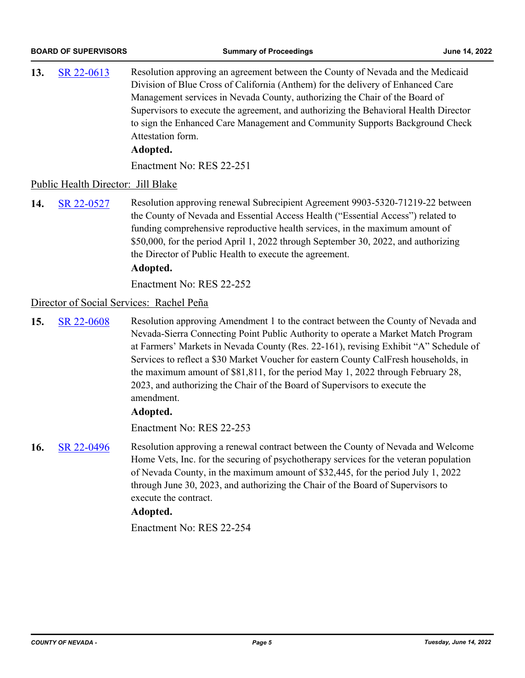| 13.                                      | SR 22-0613                         | Resolution approving an agreement between the County of Nevada and the Medicaid<br>Division of Blue Cross of California (Anthem) for the delivery of Enhanced Care<br>Management services in Nevada County, authorizing the Chair of the Board of<br>Supervisors to execute the agreement, and authorizing the Behavioral Health Director<br>to sign the Enhanced Care Management and Community Supports Background Check<br>Attestation form.<br>Adopted. |  |  |
|------------------------------------------|------------------------------------|------------------------------------------------------------------------------------------------------------------------------------------------------------------------------------------------------------------------------------------------------------------------------------------------------------------------------------------------------------------------------------------------------------------------------------------------------------|--|--|
|                                          |                                    | Enactment No: RES 22-251                                                                                                                                                                                                                                                                                                                                                                                                                                   |  |  |
|                                          | Public Health Director: Jill Blake |                                                                                                                                                                                                                                                                                                                                                                                                                                                            |  |  |
| 14.                                      | SR 22-0527                         | Resolution approving renewal Subrecipient Agreement 9903-5320-71219-22 between<br>the County of Nevada and Essential Access Health ("Essential Access") related to<br>funding comprehensive reproductive health services, in the maximum amount of<br>\$50,000, for the period April 1, 2022 through September 30, 2022, and authorizing<br>the Director of Public Health to execute the agreement.<br>Adopted.<br>Enactment No: RES 22-252                |  |  |
| Director of Social Services: Rachel Peña |                                    |                                                                                                                                                                                                                                                                                                                                                                                                                                                            |  |  |

**15.** [SR 22-0608](http://nevco.legistar.com/gateway.aspx?m=l&id=/matter.aspx?key=40936) Resolution approving Amendment 1 to the contract between the County of Nevada and Nevada-Sierra Connecting Point Public Authority to operate a Market Match Program at Farmers' Markets in Nevada County (Res. 22-161), revising Exhibit "A" Schedule of Services to reflect a \$30 Market Voucher for eastern County CalFresh households, in the maximum amount of \$81,811, for the period May 1, 2022 through February 28, 2023, and authorizing the Chair of the Board of Supervisors to execute the amendment.

#### **Adopted.**

Enactment No: RES 22-253

**16.** [SR 22-0496](http://nevco.legistar.com/gateway.aspx?m=l&id=/matter.aspx?key=40824) Resolution approving a renewal contract between the County of Nevada and Welcome Home Vets, Inc. for the securing of psychotherapy services for the veteran population of Nevada County, in the maximum amount of \$32,445, for the period July 1, 2022 through June 30, 2023, and authorizing the Chair of the Board of Supervisors to execute the contract.

#### **Adopted.**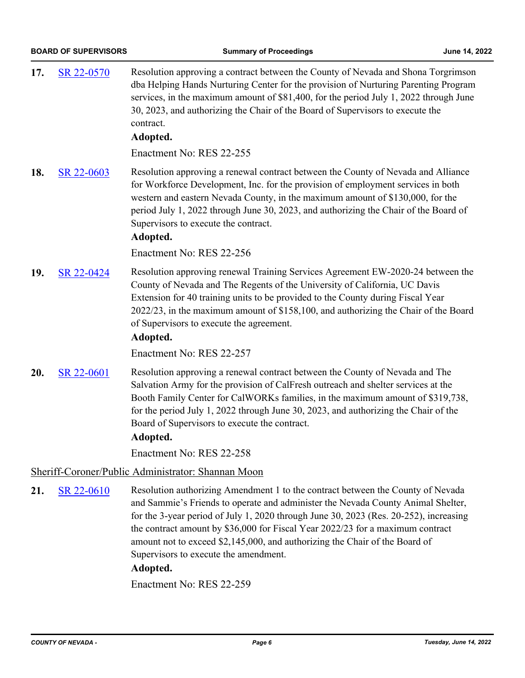| 17. | SR 22-0570                                         | Resolution approving a contract between the County of Nevada and Shona Torgrimson<br>dba Helping Hands Nurturing Center for the provision of Nurturing Parenting Program<br>services, in the maximum amount of \$81,400, for the period July 1, 2022 through June<br>30, 2023, and authorizing the Chair of the Board of Supervisors to execute the<br>contract.<br>Adopted.                            |  |  |
|-----|----------------------------------------------------|---------------------------------------------------------------------------------------------------------------------------------------------------------------------------------------------------------------------------------------------------------------------------------------------------------------------------------------------------------------------------------------------------------|--|--|
|     |                                                    | Enactment No: RES 22-255                                                                                                                                                                                                                                                                                                                                                                                |  |  |
| 18. | SR 22-0603                                         | Resolution approving a renewal contract between the County of Nevada and Alliance<br>for Workforce Development, Inc. for the provision of employment services in both<br>western and eastern Nevada County, in the maximum amount of \$130,000, for the<br>period July 1, 2022 through June 30, 2023, and authorizing the Chair of the Board of<br>Supervisors to execute the contract.<br>Adopted.     |  |  |
|     |                                                    | Enactment No: RES 22-256                                                                                                                                                                                                                                                                                                                                                                                |  |  |
| 19. | SR 22-0424                                         | Resolution approving renewal Training Services Agreement EW-2020-24 between the<br>County of Nevada and The Regents of the University of California, UC Davis<br>Extension for 40 training units to be provided to the County during Fiscal Year<br>2022/23, in the maximum amount of \$158,100, and authorizing the Chair of the Board<br>of Supervisors to execute the agreement.<br>Adopted.         |  |  |
|     |                                                    | Enactment No: RES 22-257                                                                                                                                                                                                                                                                                                                                                                                |  |  |
| 20. | SR 22-0601                                         | Resolution approving a renewal contract between the County of Nevada and The<br>Salvation Army for the provision of CalFresh outreach and shelter services at the<br>Booth Family Center for CalWORKs families, in the maximum amount of \$319,738,<br>for the period July 1, 2022 through June 30, 2023, and authorizing the Chair of the<br>Board of Supervisors to execute the contract.<br>Adopted. |  |  |
|     |                                                    | Enactment No: RES 22-258                                                                                                                                                                                                                                                                                                                                                                                |  |  |
|     | Sheriff-Coroner/Public Administrator: Shannan Moon |                                                                                                                                                                                                                                                                                                                                                                                                         |  |  |
| 21. | SR 22-0610                                         | Resolution authorizing Amendment 1 to the contract between the County of Nevada<br>and Sammie's Friends to operate and administer the Nevada County Animal Shelter,                                                                                                                                                                                                                                     |  |  |

for the 3-year period of July 1, 2020 through June 30, 2023 (Res. 20-252), increasing the contract amount by \$36,000 for Fiscal Year 2022/23 for a maximum contract amount not to exceed \$2,145,000, and authorizing the Chair of the Board of Supervisors to execute the amendment.

#### **Adopted.**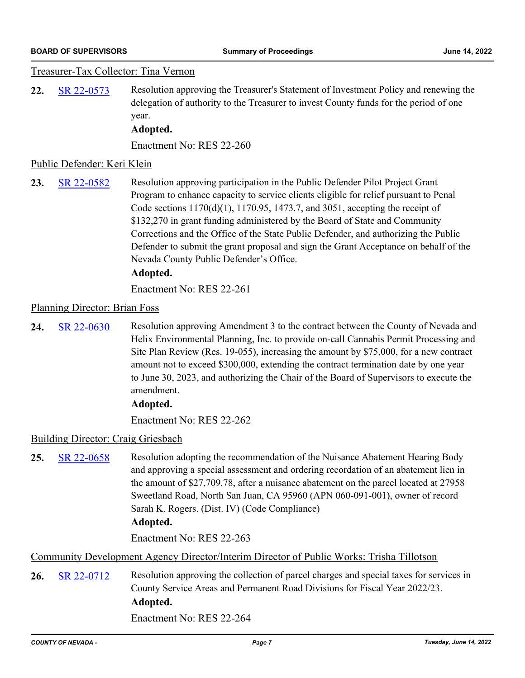#### Treasurer-Tax Collector: Tina Vernon

**22.** [SR 22-0573](http://nevco.legistar.com/gateway.aspx?m=l&id=/matter.aspx?key=40901) Resolution approving the Treasurer's Statement of Investment Policy and renewing the delegation of authority to the Treasurer to invest County funds for the period of one year.

#### **Adopted.**

Enactment No: RES 22-260

#### Public Defender: Keri Klein

**23.** [SR 22-0582](http://nevco.legistar.com/gateway.aspx?m=l&id=/matter.aspx?key=40910) Resolution approving participation in the Public Defender Pilot Project Grant Program to enhance capacity to service clients eligible for relief pursuant to Penal Code sections 1170(d)(1), 1170.95, 1473.7, and 3051, accepting the receipt of \$132,270 in grant funding administered by the Board of State and Community Corrections and the Office of the State Public Defender, and authorizing the Public Defender to submit the grant proposal and sign the Grant Acceptance on behalf of the Nevada County Public Defender's Office.

#### **Adopted.**

Enactment No: RES 22-261

#### Planning Director: Brian Foss

24. [SR 22-0630](http://nevco.legistar.com/gateway.aspx?m=l&id=/matter.aspx?key=40958) Resolution approving Amendment 3 to the contract between the County of Nevada and Helix Environmental Planning, Inc. to provide on-call Cannabis Permit Processing and Site Plan Review (Res. 19-055), increasing the amount by \$75,000, for a new contract amount not to exceed \$300,000, extending the contract termination date by one year to June 30, 2023, and authorizing the Chair of the Board of Supervisors to execute the amendment.

#### **Adopted.**

Enactment No: RES 22-262

#### Building Director: Craig Griesbach

25. [SR 22-0658](http://nevco.legistar.com/gateway.aspx?m=l&id=/matter.aspx?key=40986) Resolution adopting the recommendation of the Nuisance Abatement Hearing Body and approving a special assessment and ordering recordation of an abatement lien in the amount of \$27,709.78, after a nuisance abatement on the parcel located at 27958 Sweetland Road, North San Juan, CA 95960 (APN 060-091-001), owner of record Sarah K. Rogers. (Dist. IV) (Code Compliance)

#### **Adopted.**

Enactment No: RES 22-263

Community Development Agency Director/Interim Director of Public Works: Trisha Tillotson

**26.** [SR 22-0712](http://nevco.legistar.com/gateway.aspx?m=l&id=/matter.aspx?key=41040) Resolution approving the collection of parcel charges and special taxes for services in County Service Areas and Permanent Road Divisions for Fiscal Year 2022/23. **Adopted.**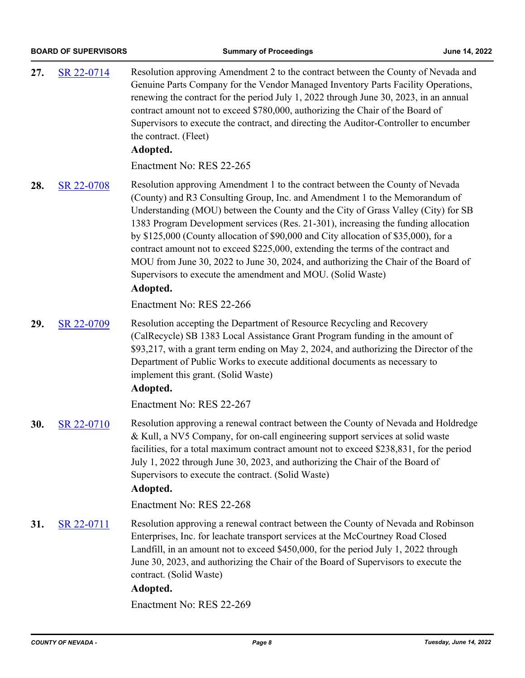| 27. | SR 22-0714 | Resolution approving Amendment 2 to the contract between the County of Nevada and<br>Genuine Parts Company for the Vendor Managed Inventory Parts Facility Operations,<br>renewing the contract for the period July 1, 2022 through June 30, 2023, in an annual<br>contract amount not to exceed \$780,000, authorizing the Chair of the Board of<br>Supervisors to execute the contract, and directing the Auditor-Controller to encumber<br>the contract. (Fleet)<br>Adopted.                                                                                                                                                                                                     |
|-----|------------|-------------------------------------------------------------------------------------------------------------------------------------------------------------------------------------------------------------------------------------------------------------------------------------------------------------------------------------------------------------------------------------------------------------------------------------------------------------------------------------------------------------------------------------------------------------------------------------------------------------------------------------------------------------------------------------|
|     |            | Enactment No: RES 22-265                                                                                                                                                                                                                                                                                                                                                                                                                                                                                                                                                                                                                                                            |
| 28. | SR 22-0708 | Resolution approving Amendment 1 to the contract between the County of Nevada<br>(County) and R3 Consulting Group, Inc. and Amendment 1 to the Memorandum of<br>Understanding (MOU) between the County and the City of Grass Valley (City) for SB<br>1383 Program Development services (Res. 21-301), increasing the funding allocation<br>by \$125,000 (County allocation of \$90,000 and City allocation of \$35,000), for a<br>contract amount not to exceed \$225,000, extending the terms of the contract and<br>MOU from June 30, 2022 to June 30, 2024, and authorizing the Chair of the Board of<br>Supervisors to execute the amendment and MOU. (Solid Waste)<br>Adopted. |
|     |            | Enactment No: RES 22-266                                                                                                                                                                                                                                                                                                                                                                                                                                                                                                                                                                                                                                                            |
| 29. | SR 22-0709 | Resolution accepting the Department of Resource Recycling and Recovery<br>(CalRecycle) SB 1383 Local Assistance Grant Program funding in the amount of<br>\$93,217, with a grant term ending on May 2, 2024, and authorizing the Director of the<br>Department of Public Works to execute additional documents as necessary to<br>implement this grant. (Solid Waste)<br>Adopted.                                                                                                                                                                                                                                                                                                   |
|     |            | Enactment No: RES 22-267                                                                                                                                                                                                                                                                                                                                                                                                                                                                                                                                                                                                                                                            |
| 30. | SR 22-0710 | Resolution approving a renewal contract between the County of Nevada and Holdredge<br>& Kull, a NV5 Company, for on-call engineering support services at solid waste<br>facilities, for a total maximum contract amount not to exceed \$238,831, for the period<br>July 1, 2022 through June 30, 2023, and authorizing the Chair of the Board of<br>Supervisors to execute the contract. (Solid Waste)<br>Adopted.                                                                                                                                                                                                                                                                  |
|     |            | Enactment No: RES 22-268                                                                                                                                                                                                                                                                                                                                                                                                                                                                                                                                                                                                                                                            |
| 31. | SR 22-0711 | Resolution approving a renewal contract between the County of Nevada and Robinson<br>Enterprises, Inc. for leachate transport services at the McCourtney Road Closed<br>Landfill, in an amount not to exceed \$450,000, for the period July 1, 2022 through<br>June 30, 2023, and authorizing the Chair of the Board of Supervisors to execute the<br>contract. (Solid Waste)<br>Adopted.                                                                                                                                                                                                                                                                                           |
|     |            | Enactment No: RES 22-269                                                                                                                                                                                                                                                                                                                                                                                                                                                                                                                                                                                                                                                            |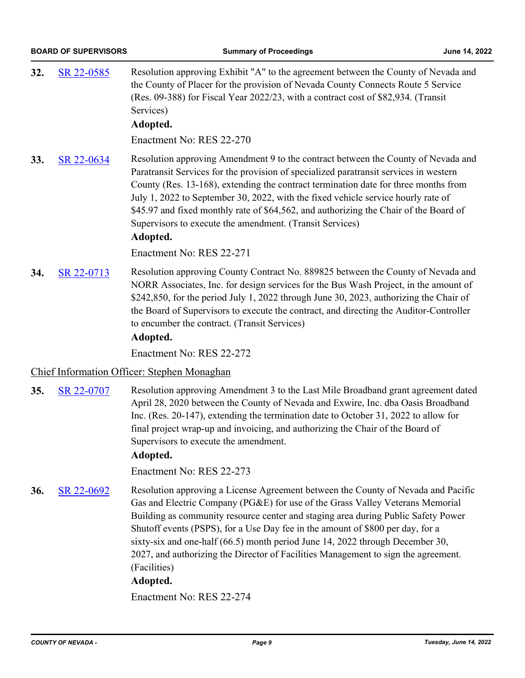| 32. | SR 22-0585                                  | Resolution approving Exhibit "A" to the agreement between the County of Nevada and<br>the County of Placer for the provision of Nevada County Connects Route 5 Service<br>(Res. 09-388) for Fiscal Year 2022/23, with a contract cost of \$82,934. (Transit<br>Services)<br>Adopted.                                                                                                                                                                                                                                    |  |  |  |
|-----|---------------------------------------------|-------------------------------------------------------------------------------------------------------------------------------------------------------------------------------------------------------------------------------------------------------------------------------------------------------------------------------------------------------------------------------------------------------------------------------------------------------------------------------------------------------------------------|--|--|--|
|     |                                             | Enactment No: RES 22-270                                                                                                                                                                                                                                                                                                                                                                                                                                                                                                |  |  |  |
| 33. | SR 22-0634                                  | Resolution approving Amendment 9 to the contract between the County of Nevada and<br>Paratransit Services for the provision of specialized paratransit services in western<br>County (Res. 13-168), extending the contract termination date for three months from<br>July 1, 2022 to September 30, 2022, with the fixed vehicle service hourly rate of<br>\$45.97 and fixed monthly rate of \$64,562, and authorizing the Chair of the Board of<br>Supervisors to execute the amendment. (Transit Services)<br>Adopted. |  |  |  |
|     |                                             | Enactment No: RES 22-271                                                                                                                                                                                                                                                                                                                                                                                                                                                                                                |  |  |  |
| 34. | SR 22-0713                                  | Resolution approving County Contract No. 889825 between the County of Nevada and<br>NORR Associates, Inc. for design services for the Bus Wash Project, in the amount of<br>\$242,850, for the period July 1, 2022 through June 30, 2023, authorizing the Chair of<br>the Board of Supervisors to execute the contract, and directing the Auditor-Controller<br>to encumber the contract. (Transit Services)<br>Adopted.                                                                                                |  |  |  |
|     |                                             | Enactment No: RES 22-272                                                                                                                                                                                                                                                                                                                                                                                                                                                                                                |  |  |  |
|     | Chief Information Officer: Stephen Monaghan |                                                                                                                                                                                                                                                                                                                                                                                                                                                                                                                         |  |  |  |
| 35. | SR 22-0707                                  | Resolution approving Amendment 3 to the Last Mile Broadband grant agreement dated<br>April 28, 2020 between the County of Nevada and Exwire, Inc. dba Oasis Broadband<br>Inc. (Res. 20-147), extending the termination date to October 31, 2022 to allow for<br>final project wrap-up and invoicing, and authorizing the Chair of the Board of<br>Supervisors to execute the amendment.<br>Adopted.                                                                                                                     |  |  |  |
|     |                                             | Enactment No: RES 22-273                                                                                                                                                                                                                                                                                                                                                                                                                                                                                                |  |  |  |

**36.** [SR 22-0692](http://nevco.legistar.com/gateway.aspx?m=l&id=/matter.aspx?key=41020) Resolution approving a License Agreement between the County of Nevada and Pacific Gas and Electric Company (PG&E) for use of the Grass Valley Veterans Memorial Building as community resource center and staging area during Public Safety Power Shutoff events (PSPS), for a Use Day fee in the amount of \$800 per day, for a sixty-six and one-half (66.5) month period June 14, 2022 through December 30, 2027, and authorizing the Director of Facilities Management to sign the agreement. (Facilities)

#### **Adopted.**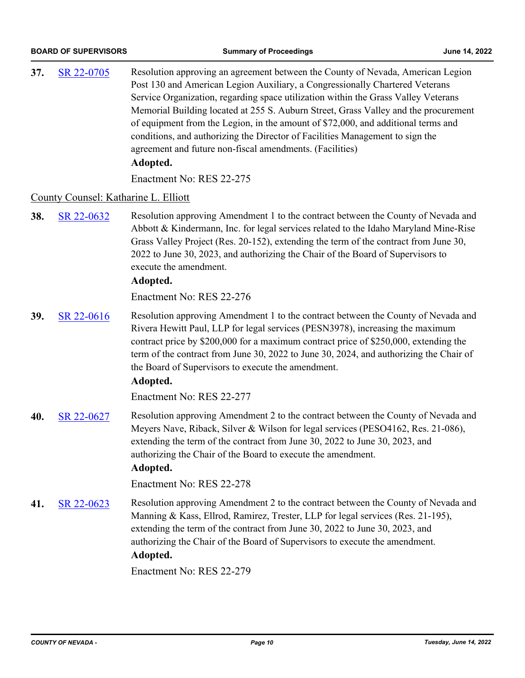**37.** [SR 22-0705](http://nevco.legistar.com/gateway.aspx?m=l&id=/matter.aspx?key=41033) Resolution approving an agreement between the County of Nevada, American Legion Post 130 and American Legion Auxiliary, a Congressionally Chartered Veterans Service Organization, regarding space utilization within the Grass Valley Veterans Memorial Building located at 255 S. Auburn Street, Grass Valley and the procurement of equipment from the Legion, in the amount of \$72,000, and additional terms and conditions, and authorizing the Director of Facilities Management to sign the agreement and future non-fiscal amendments. (Facilities) **Adopted.**

Enactment No: RES 22-275

#### County Counsel: Katharine L. Elliott

**38.** [SR 22-0632](http://nevco.legistar.com/gateway.aspx?m=l&id=/matter.aspx?key=40960) Resolution approving Amendment 1 to the contract between the County of Nevada and Abbott & Kindermann, Inc. for legal services related to the Idaho Maryland Mine-Rise Grass Valley Project (Res. 20-152), extending the term of the contract from June 30, 2022 to June 30, 2023, and authorizing the Chair of the Board of Supervisors to execute the amendment.

#### **Adopted.**

Enactment No: RES 22-276

**39.** [SR 22-0616](http://nevco.legistar.com/gateway.aspx?m=l&id=/matter.aspx?key=40944) Resolution approving Amendment 1 to the contract between the County of Nevada and Rivera Hewitt Paul, LLP for legal services (PESN3978), increasing the maximum contract price by \$200,000 for a maximum contract price of \$250,000, extending the term of the contract from June 30, 2022 to June 30, 2024, and authorizing the Chair of the Board of Supervisors to execute the amendment.

#### **Adopted.**

Enactment No: RES 22-277

**40.** [SR 22-0627](http://nevco.legistar.com/gateway.aspx?m=l&id=/matter.aspx?key=40955) Resolution approving Amendment 2 to the contract between the County of Nevada and Meyers Nave, Riback, Silver & Wilson for legal services (PESO4162, Res. 21-086), extending the term of the contract from June 30, 2022 to June 30, 2023, and authorizing the Chair of the Board to execute the amendment.

#### **Adopted.**

Enactment No: RES 22-278

**41.** [SR 22-0623](http://nevco.legistar.com/gateway.aspx?m=l&id=/matter.aspx?key=40951) Resolution approving Amendment 2 to the contract between the County of Nevada and Manning & Kass, Ellrod, Ramirez, Trester, LLP for legal services (Res. 21-195), extending the term of the contract from June 30, 2022 to June 30, 2023, and authorizing the Chair of the Board of Supervisors to execute the amendment. **Adopted.**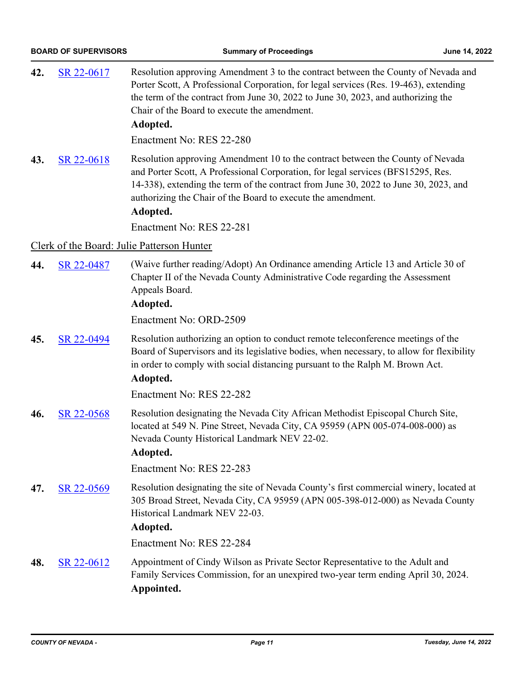| 42. | SR 22-0617 | Resolution approving Amendment 3 to the contract between the County of Nevada and<br>Porter Scott, A Professional Corporation, for legal services (Res. 19-463), extending<br>the term of the contract from June 30, 2022 to June 30, 2023, and authorizing the<br>Chair of the Board to execute the amendment.<br>Adopted.            |
|-----|------------|----------------------------------------------------------------------------------------------------------------------------------------------------------------------------------------------------------------------------------------------------------------------------------------------------------------------------------------|
|     |            | Enactment No: RES 22-280                                                                                                                                                                                                                                                                                                               |
| 43. | SR 22-0618 | Resolution approving Amendment 10 to the contract between the County of Nevada<br>and Porter Scott, A Professional Corporation, for legal services (BFS15295, Res.<br>14-338), extending the term of the contract from June 30, 2022 to June 30, 2023, and<br>authorizing the Chair of the Board to execute the amendment.<br>Adopted. |
|     |            | Enactment No: RES 22-281                                                                                                                                                                                                                                                                                                               |
|     |            | Clerk of the Board: Julie Patterson Hunter                                                                                                                                                                                                                                                                                             |
| 44. | SR 22-0487 | (Waive further reading/Adopt) An Ordinance amending Article 13 and Article 30 of<br>Chapter II of the Nevada County Administrative Code regarding the Assessment<br>Appeals Board.<br>Adopted.                                                                                                                                         |
|     |            | Enactment No: ORD-2509                                                                                                                                                                                                                                                                                                                 |
| 45. | SR 22-0494 | Resolution authorizing an option to conduct remote teleconference meetings of the<br>Board of Supervisors and its legislative bodies, when necessary, to allow for flexibility<br>in order to comply with social distancing pursuant to the Ralph M. Brown Act.<br>Adopted.                                                            |
|     |            | Enactment No: RES 22-282                                                                                                                                                                                                                                                                                                               |
| 46. | SR 22-0568 | Resolution designating the Nevada City African Methodist Episcopal Church Site,<br>located at 549 N. Pine Street, Nevada City, CA 95959 (APN 005-074-008-000) as<br>Nevada County Historical Landmark NEV 22-02.<br>Adopted.                                                                                                           |
|     |            | Enactment No: RES 22-283                                                                                                                                                                                                                                                                                                               |
| 47. | SR 22-0569 | Resolution designating the site of Nevada County's first commercial winery, located at<br>305 Broad Street, Nevada City, CA 95959 (APN 005-398-012-000) as Nevada County<br>Historical Landmark NEV 22-03.<br>Adopted.                                                                                                                 |
|     |            | Enactment No: RES 22-284                                                                                                                                                                                                                                                                                                               |
| 48. | SR 22-0612 | Appointment of Cindy Wilson as Private Sector Representative to the Adult and<br>Family Services Commission, for an unexpired two-year term ending April 30, 2024.<br>Appointed.                                                                                                                                                       |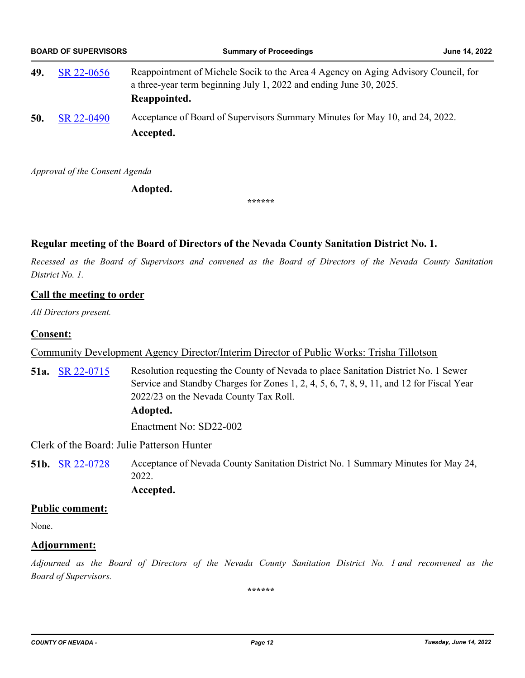|     | <b>BOARD OF SUPERVISORS</b> | <b>Summary of Proceedings</b>                                                                                                                                            | June 14, 2022 |
|-----|-----------------------------|--------------------------------------------------------------------------------------------------------------------------------------------------------------------------|---------------|
| 49. | SR 22-0656                  | Reappointment of Michele Socik to the Area 4 Agency on Aging Advisory Council, for<br>a three-year term beginning July 1, 2022 and ending June 30, 2025.<br>Reappointed. |               |
| 50. | SR 22-0490                  | Acceptance of Board of Supervisors Summary Minutes for May 10, and 24, 2022.<br>Accepted.                                                                                |               |

*Approval of the Consent Agenda*

**Adopted.**

**\*\*\*\*\*\***

### **Regular meeting of the Board of Directors of the Nevada County Sanitation District No. 1.**

*Recessed as the Board of Supervisors and convened as the Board of Directors of the Nevada County Sanitation District No. 1.*

#### **Call the meeting to order**

*All Directors present.*

#### **Consent:**

Community Development Agency Director/Interim Director of Public Works: Trisha Tillotson

**51a.** [SR 22-0715](http://nevco.legistar.com/gateway.aspx?m=l&id=/matter.aspx?key=41043) Resolution requesting the County of Nevada to place Sanitation District No. 1 Sewer Service and Standby Charges for Zones 1, 2, 4, 5, 6, 7, 8, 9, 11, and 12 for Fiscal Year 2022/23 on the Nevada County Tax Roll.

**Adopted.**

Enactment No: SD22-002

Clerk of the Board: Julie Patterson Hunter

**51b.** [SR 22-0728](http://nevco.legistar.com/gateway.aspx?m=l&id=/matter.aspx?key=41056) Acceptance of Nevada County Sanitation District No. 1 Summary Minutes for May 24, 2022.

### **Accepted.**

#### **Public comment:**

None.

#### **Adjournment:**

*Adjourned as the Board of Directors of the Nevada County Sanitation District No. 1 and reconvened as the Board of Supervisors.*

**\*\*\*\*\*\***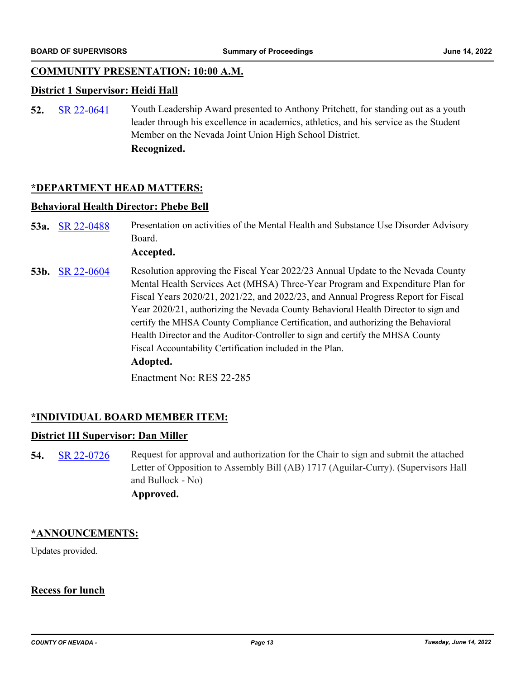#### **COMMUNITY PRESENTATION: 10:00 A.M.**

#### **District 1 Supervisor: Heidi Hall**

**52.** [SR 22-0641](http://nevco.legistar.com/gateway.aspx?m=l&id=/matter.aspx?key=40969) Youth Leadership Award presented to Anthony Pritchett, for standing out as a youth leader through his excellence in academics, athletics, and his service as the Student Member on the Nevada Joint Union High School District. **Recognized.**

#### **\*DEPARTMENT HEAD MATTERS:**

#### **Behavioral Health Director: Phebe Bell**

53a. [SR 22-0488](http://nevco.legistar.com/gateway.aspx?m=l&id=/matter.aspx?key=40816) Presentation on activities of the Mental Health and Substance Use Disorder Advisory Board.

#### **Accepted.**

**53b.** [SR 22-0604](http://nevco.legistar.com/gateway.aspx?m=l&id=/matter.aspx?key=40932) Resolution approving the Fiscal Year 2022/23 Annual Update to the Nevada County Mental Health Services Act (MHSA) Three-Year Program and Expenditure Plan for Fiscal Years 2020/21, 2021/22, and 2022/23, and Annual Progress Report for Fiscal Year 2020/21, authorizing the Nevada County Behavioral Health Director to sign and certify the MHSA County Compliance Certification, and authorizing the Behavioral Health Director and the Auditor-Controller to sign and certify the MHSA County Fiscal Accountability Certification included in the Plan. **Adopted.**

Enactment No: RES 22-285

#### **\*INDIVIDUAL BOARD MEMBER ITEM:**

#### **District III Supervisor: Dan Miller**

**54.** [SR 22-0726](http://nevco.legistar.com/gateway.aspx?m=l&id=/matter.aspx?key=41054) Request for approval and authorization for the Chair to sign and submit the attached Letter of Opposition to Assembly Bill (AB) 1717 (Aguilar-Curry). (Supervisors Hall and Bullock - No) **Approved.**

#### **\*ANNOUNCEMENTS:**

Updates provided.

#### **Recess for lunch**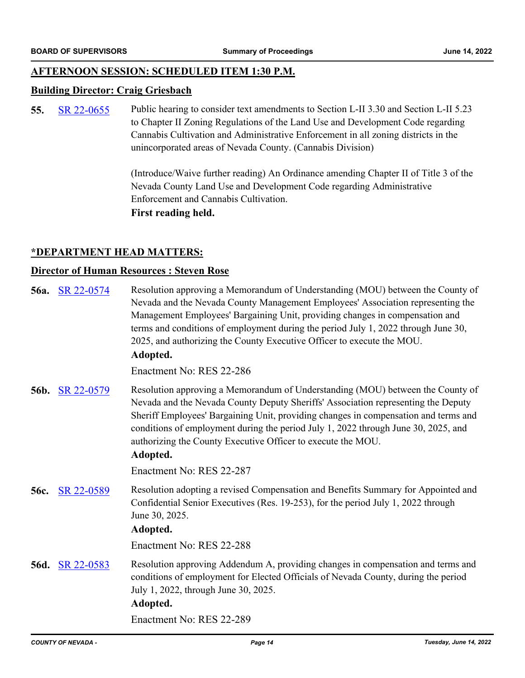#### **AFTERNOON SESSION: SCHEDULED ITEM 1:30 P.M.**

#### **Building Director: Craig Griesbach**

**55.** [SR 22-0655](http://nevco.legistar.com/gateway.aspx?m=l&id=/matter.aspx?key=40983) Public hearing to consider text amendments to Section L-II 3.30 and Section L-II 5.23 to Chapter II Zoning Regulations of the Land Use and Development Code regarding Cannabis Cultivation and Administrative Enforcement in all zoning districts in the unincorporated areas of Nevada County. (Cannabis Division)

> (Introduce/Waive further reading) An Ordinance amending Chapter II of Title 3 of the Nevada County Land Use and Development Code regarding Administrative Enforcement and Cannabis Cultivation. **First reading held.**

#### **\*DEPARTMENT HEAD MATTERS:**

#### **Director of Human Resources : Steven Rose**

| 56a.        | SR 22-0574 | Resolution approving a Memorandum of Understanding (MOU) between the County of<br>Nevada and the Nevada County Management Employees' Association representing the<br>Management Employees' Bargaining Unit, providing changes in compensation and<br>terms and conditions of employment during the period July 1, 2022 through June 30,<br>2025, and authorizing the County Executive Officer to execute the MOU.<br>Adopted. |
|-------------|------------|-------------------------------------------------------------------------------------------------------------------------------------------------------------------------------------------------------------------------------------------------------------------------------------------------------------------------------------------------------------------------------------------------------------------------------|
|             |            | Enactment No: RES 22-286                                                                                                                                                                                                                                                                                                                                                                                                      |
| 56b.        | SR 22-0579 | Resolution approving a Memorandum of Understanding (MOU) between the County of<br>Nevada and the Nevada County Deputy Sheriffs' Association representing the Deputy<br>Sheriff Employees' Bargaining Unit, providing changes in compensation and terms and<br>conditions of employment during the period July 1, 2022 through June 30, 2025, and<br>authorizing the County Executive Officer to execute the MOU.<br>Adopted.  |
|             |            | Enactment No: RES 22-287                                                                                                                                                                                                                                                                                                                                                                                                      |
| 56c.        | SR 22-0589 | Resolution adopting a revised Compensation and Benefits Summary for Appointed and<br>Confidential Senior Executives (Res. 19-253), for the period July 1, 2022 through<br>June 30, 2025.<br>Adopted.                                                                                                                                                                                                                          |
|             |            | Enactment No: RES 22-288                                                                                                                                                                                                                                                                                                                                                                                                      |
| <b>56d.</b> | SR 22-0583 | Resolution approving Addendum A, providing changes in compensation and terms and<br>conditions of employment for Elected Officials of Nevada County, during the period<br>July 1, 2022, through June 30, 2025.<br>Adopted.                                                                                                                                                                                                    |
|             |            | Enactment No: RES 22-289                                                                                                                                                                                                                                                                                                                                                                                                      |
|             |            |                                                                                                                                                                                                                                                                                                                                                                                                                               |